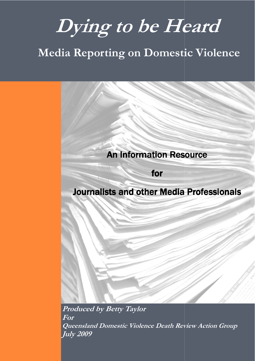# **Dying to be Heard be**

# **Media Reporting on Domestic Violence**

# An Information Resource An Information Resource

l an I

# for

# Journalists and other Media Professionals

E E

**Produced by Betty Taylor For Queensland Domesti Domestic Violence Death Review Action Group c Death Action GroupJuly 2009** - 1 - **2009**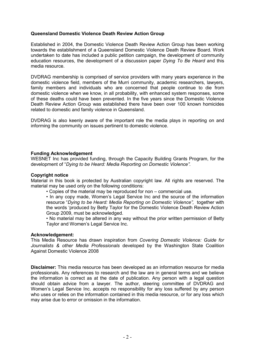#### **Queensland Domestic Violence Death Review Action Group**

Established in 2004, the Domestic Violence Death Review Action Group has been working towards the establishment of a Queensland Domestic Violence Death Review Board. Work undertaken to date has included a public petition campaign, the development of community education resources, the development of a discussion paper *Dying To Be Heard* and this media resource.

DVDRAG membership is comprised of service providers with many years experience in the domestic violence field, members of the Murri community, academic researchers, lawyers, family members and individuals who are concerned that people continue to die from domestic violence when we know, in all probability, with enhanced system responses, some of these deaths could have been prevented. In the five years since the Domestic Violence Death Review Action Group was established there have been over 100 known homicides related to domestic and family violence in Queensland.

DVDRAG is also keenly aware of the important role the media plays in reporting on and informing the community on issues pertinent to domestic violence.

#### **Funding Acknowledgement**

WESNET Inc has provided funding, through the Capacity Building Grants Program, for the development of "*Dying to be Heard: Media Reporting on Domestic Violence".* 

#### **Copyright notice**

Material in this book is protected by Australian copyright law. All rights are reserved. The material may be used only on the following conditions:

• Copies of the material may be reproduced for non – commercial use.

• In any copy made, Women's Legal Service Inc and the source of the information resource "*Dying to be Heard: Media Reporting on Domestic Violence",* together with the words 'produced by Betty Taylor for the Domestic Violence Death Review Action Group 2009, must be acknowledged.

• No material may be altered in any way without the prior written permission of Betty Taylor and Women's Legal Service Inc.

#### **Acknowledgement:**

This Media Resource has drawn inspiration from *Covering Domestic Violence: Guide for Journalists & other Media Professionals* developed by the Washington State Coalition Against Domestic Violence 2008

**Disclaimer:** This media resource has been developed as an information resource for media professionals. Any references to research and the law are in general terms and we believe the information is correct as at the date of publication. Any person with a legal question should obtain advice from a lawyer. The author, steering committee of DVDRAG and Women's Legal Service Inc. accepts no responsibility for any loss suffered by any person who uses or relies on the information contained in this media resource, or for any loss which may arise due to error or omission in the information.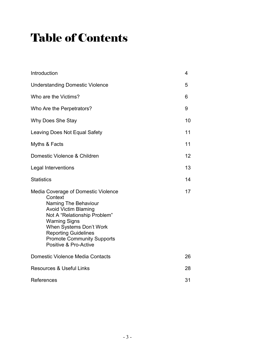# Table of Contents

| Introduction                                                                                                                                                                                                                                                                          | 4  |
|---------------------------------------------------------------------------------------------------------------------------------------------------------------------------------------------------------------------------------------------------------------------------------------|----|
| <b>Understanding Domestic Violence</b>                                                                                                                                                                                                                                                | 5  |
| Who are the Victims?                                                                                                                                                                                                                                                                  | 6  |
| Who Are the Perpetrators?                                                                                                                                                                                                                                                             | 9  |
| Why Does She Stay                                                                                                                                                                                                                                                                     | 10 |
| Leaving Does Not Equal Safety                                                                                                                                                                                                                                                         | 11 |
| Myths & Facts                                                                                                                                                                                                                                                                         | 11 |
| Domestic Violence & Children                                                                                                                                                                                                                                                          | 12 |
| Legal Interventions                                                                                                                                                                                                                                                                   | 13 |
| <b>Statistics</b>                                                                                                                                                                                                                                                                     | 14 |
| Media Coverage of Domestic Violence<br>Context<br>Naming The Behaviour<br><b>Avoid Victim Blaming</b><br>Not A "Relationship Problem"<br><b>Warning Signs</b><br>When Systems Don't Work<br><b>Reporting Guidelines</b><br><b>Promote Community Supports</b><br>Positive & Pro-Active | 17 |
| Domestic Violence Media Contacts                                                                                                                                                                                                                                                      | 26 |
| <b>Resources &amp; Useful Links</b>                                                                                                                                                                                                                                                   | 28 |
| References                                                                                                                                                                                                                                                                            | 31 |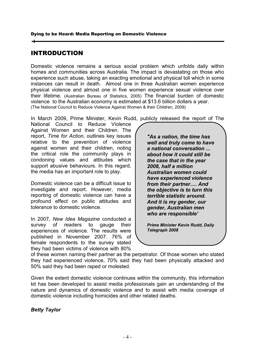# INTRODUCTION

Domestic violence remains a serious social problem which unfolds daily within homes and communities across Australia. The impact is devastating on those who experience such abuse, taking an exacting emotional and physical toll which in some homes and communities across Australia. The impact is devastating on those who<br>experience such abuse, taking an exacting emotional and physical toll which in some<br>instances can result in death. Almost one in three Austral physical violence and almost one in five women experience sexual their lifetime. (Australian Bureau of Statistics, 2005) The financial burden of domestic their lifetime. (Australian Bureau of Statistics, 2005) The financial burden of doi<br>violence to the Australian economy is estimated at \$13.6 billion dollars a year. (The National Council to Reduce Violence Against Women & their Children, 2009) erious social problem which unfolds daily within<br>Australia. The impact is devastating on those who<br>i exacting emotional and physical toll which in some<br>Almost one in three Australian women experience<br>ie in five women exper

In March 2009, Prime Minister, Kevin Rudd, publicly released the report of The

National Council to Reduce Violence Against Women and their Chi National Reduce their Children. The report, *Time for Action,* outlines key issues relative to the prevention of violence against women and their children, noting the critical role the community plays in condoning values and attitudes which support abusive behaviour support abusive behaviours. In this regard, the media has an important role to play. me for Action, outlines key issues<br>to the prevention of violence<br>vomen and their children, noting

Domestic violence can be a difficult issue to the media has an important role to play.<br>Domestic violence can be a difficult issue to<br>investigate and report. However, media reporting of domestic violence can have a profound effect on public attitudes and<br>tolerance to domestic violence. tolerance to domestic violence.

In 2007, New Idea Magazine conducted a survey of readers to gauge their experiences of violence. The results were published in November 2007. 76% of female respondents to the survey stated they had been victims of violence with 80% survey of readers to gauge their<br>
experiences of violence. The results were<br>
published in November 2007. 76% of<br>
female respondents to the survey stated<br>
they had been victims of violence with 80%<br>
of these women naming th

report, *Time for Action*, outlines key issues<br>
readitive to the prevention of violence<br>
eraditive on the critical reduction, noting<br>
an anticonal conversation ...<br>
the critical relies contoming values and attitudes which<br> *well and truly come to have a national conversation ... about how it could still be the case that in th 2008, half a million half a million Australian women could Australian women could have experienced violence from their partner.... And have experienced violence<br>from their partner…. And<br>the objective is to turn this terrible statistic around. And it is my gender, our terrible our gender, Australian men who are responsible'*  "As a nation, the time ha<br>well and truly come to ha<br>a national conversation<br>about how it could still b<br>the case that in the year

*Prime Minister Kevin Rudd, Daily Telegraph 2008* 

they had experienced violence, 70% said they had been physically attacked and 50% said they had been raped or molested. they had experienced violence, 70% said they had been physically<br>50% said they had been raped or molested.<br>Given the extent domestic violence continues within the community, th r as the perpetrator. Of those women who stated<br>% said they had been physically attacked and<br>olested.<br>continues within the community, this information

kit has been developed to assist media professionals gain an understanding of the kit has been developed to assist media professionals gain an understanding of the<br>nature and dynamics of domestic violence and to assist with media coverage of domestic violence including homicides and other related deaths.

# *Betty Taylor*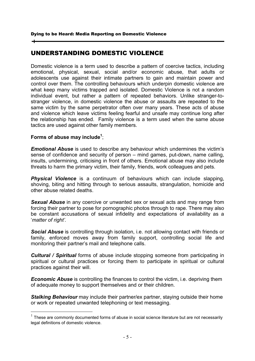# UNDERSTANDING DOMESTIC VIOLENCE

Domestic violence is a term used to describe a pattern of coercive tactics, including Domestic violence is a term used to describe a pattern of coercive tactics, including<br>emotional, physical, sexual, social and/or economic abuse, that adults or adolescents use against their intimate partners to gain and maintain power and adolescents use against their intimate partners to gain and maintain power and<br>control over them. The controlling behaviours which underpin domestic violence are what keep many victims trapped and isolated. Domestic Violence is not a random individual event, but rather a pattern of repeated behaviors. Unlike stranger-tostranger violence, in domestic violence the abuse or assaults are repeated to the same victim by the same perpetrator often over many years. These acts of abuse and violence which leave victims feeling fearful and unsafe may continue long after the relationship has ended. Family violence is a term used when the same abuse tactics are used against other family members. feeling fearful and unsafe may continue long after<br>ily violence is a term used when the same abuse<br>ily members.<br>cribe any behaviour which undermines the victim's

# **Forms of abuse may include 1** ;

-

*Emotional Abuse* is used to describe any behaviour which undermines sense of confidence and security of person – mind games, put-down, name calling, sense of confidence and security of person – mind games, put-down, name calling,<br>insults, undermining, criticising in front of others. Emotional abuse may also include threats to harm the primary victim, their family, friends, work colleagues and pets.

threats to harm the primary victim, their family, friends, work colleagues and pets.<br>*Physical Violence* is a continuum of behaviours which can include slapping, shoving, biting and hitting through to serious assaults, strangulation, homicide and other abuse related deaths.

Sexual Abuse in any coercive or unwanted sex or sexual acts and may range from forcing their partner to pose for pornographic photos through to rape. There may also be constant accusations of sexual infidelity and expectations of availability as a '*matter of right'.*  be constant accusations of sexual infidelity and expectations of availability as a<br>'matter of right'.<br>Social Abuse is controlling through isolation, i.e. not allowing contact with friends or

family, enforced moves away from family support, controlling social life and monitoring their partner's mail and telephone calls. contact with friends or<br>olling social life and<br>e from participating in

*Cultural / Spiritual* forms of abuse include stopping someone from par spiritual or cultural practices or forcing them to participate in spiritual or cultural practices against their will. monitoring their partner's mail and telephone calls.<br> **Cultural / Spiritual** forms of abuse include stopping someone from part<br>
spiritual or cultural practices or forcing them to participate in spiritual<br>
practices against

**Economic Abuse** is controlling the finances to control the victim, i.e. depriving them of adequate money to support themselves and or their children.

**Stalking Behaviour** may include their partner/ex partner, staying outside their home or work or repeated unwanted telephoning or text messaging.

l.

 $1$  These are commonly documented forms of abuse in social science literature but are not necessarily legal definitions of domestic violence.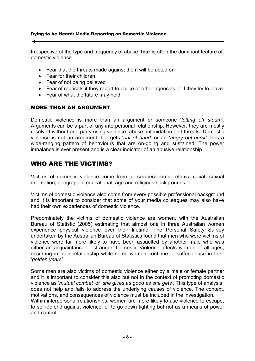Irrespective of the type and frequency of abuse, **fear** is often the dominant feature of domestic violence.

- Fear that the threats made against them will be acted on
- Fear for their children
- Fear of not being believed
- Fear that the threats made against them will be acted on<br>• Fear for their children<br>• Fear of not being believed<br>• Fear of reprisals if they report to police or other agencies or if they try to leave
- Fear of what the future may hold

# MORE THAN AN ARGUMENT

The Fear of what the future may hold<br> **MORE THAN AN ARGUMENT**<br>
Domestic violence is more than an argument or someone '*letting off steam'.* Arguments can be a part of any interpersonal relationship. However, they are mostly Arguments can be a part of any interpersonal relationship. However, they are mostly<br>resolved without one party using violence, abuse, intimidation and threats. Domestic violence is not an argument that gets 'out of hand' or an 'angry out-burst'. It is a wide-ranging pattern of behaviours that are on-going and sustained. The power imbalance is ever present and is a clear indicator of an abusive relationship.

# WHO ARE THE VICTIMS?

Victims of domestic violence come from all socioeconomic, ethnic, racial, sexual orientation, geographic, educational, age and religious backgrounds.

Victims of domestic violence also come from every possible professional background and it is important to consider that some of your media colleagues may also had their own experiences of domestic violence. come from all socioeconomic, ethnic, racial, sexual<br>ional, age and religious backgrounds.<br>so come from every possible professional background<br>that some of your media colleagues may also have

had their own experiences of domestic violence.<br>Predominately the victims of domestic violence are women, with the Australian Bureau of Statistic (2005) estimating that almost one in three Australian women Bureau of Statistic (2005) estimating that almost one in three Australian women<br>experience physical violence over their lifetime. The Personal Safety Survey undertaken by the Australian Bureau of Statistics found that men who were victims of violence were far more likely to have been assaulted by another male who was undertaken by the Australian Bureau of Statistics found that men who were victims of<br>violence were far more likely to have been assaulted by another male who was<br>either an acquaintance or stranger. Domestic Violence affect occurring in teen relationship while some women continue to suffer abuse in their '*golden years'.*  Personal Safety Survey<br>t men who were victims of<br>fects women of all ages,<br>fects women of all ages,<br>e to suffer abuse in their<br>a male or female partner<br>ext of promoting domestic<br>ets'. This type of analysis<br>of violence. The

Some men are also victims of domestic violence either by a male or female partner occurring in teen relationship while some women continue to suffer abuse in their<br>
'golden years'.<br>
Some men are also victims of domestic violence either by a male or female partner<br>
and it is important to consider this al violence as '*mutual combat' mutual combat'* or '*she gives as good as she gets'.* This type of analysis does not help and fails to address the underlying causes of violence. motivations, and consequences of violence must be included in the investigation. Within interpersonal relationships, women are more likely to use violence to escape, to self-defend against violence, or to go down fighting but not as a means of power and control. does not help and fails to address the underlying causes of violence. The context,<br>motivations, and consequences of violence must be included in the investigation.<br>Within interpersonal relationships, women are more likely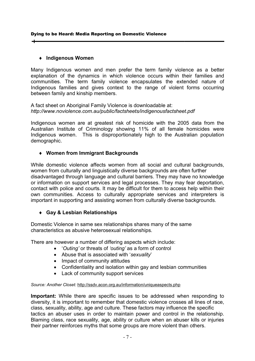# ♦ **Indigenous Women Indigenous Women**

Many Indigenous women and men prefer the term family violence as a better explanation of the dynamics in which violence occurs within their families and explanation of the dynamics in which violence occurs within their families and<br>communities. The term family violence encapsulates the extended nature of Indigenous families and gives context to the range of violent between family and kinship members. nce as a better<br>eir families and<br>nded nature of<br>forms occurring

between family and kinship members.<br>A fact sheet on Aboriginal Family Violence is downloadable at: *http://www.noviolence.com.au/public/factsheets/indigenousfactsheet.pdf http://www.noviolence.com.au/public/factsheets/indigenousfactsheet.pdf*

Indigenous women are at greatest risk of homicide with the 2005 data from the Australian Institute of Criminology showing 11% of all female homicides were Indigenous women. This is disproportionately high to the Australian population<br> **4 Women from Immigrant Backgrounds**<br>
While domestic violence affects women from all social and cultural backgrounds, demographic.

# ♦ **Women from Immigrant Backgrounds**

While domestic violence affects women from all social and cultural backgrounds. women from culturally and linguistically diverse backgrounds are often further women from culturally and linguistically diverse backgrounds are often further<br>disadvantaged through language and cultural barriers. They may have no knowledge or information on support services and legal processes. They may fear deportation, contact with police and courts. It may be difficult for them to access help within their own communities. Access to culturally appropriate services and interpreters is own communities. Access to culturally appropriate services and interpreters<br>important in supporting and assisting women from culturally diverse backgrounds. lly and linguistically diverse backgrounds, lly and linguistically diverse backgrounds are often further<br>ugh language and cultural barriers. They may have no knowledge<br>upport services and legal processes. They may fear dep

# ♦ **Gay & Lesbian Relationships Relationships**

Domestic Violence in same sex relationships shares many of the same characteristics as abusive heterosexual relationships.

There are however a number of differing aspects which include:

- are however a number of differing aspects which include<br> *'Outing'* or threats of *'outing'* as a form of control
	- Abuse that is associated with 'sexuality'
	- Impact of community attitudes
	- Impact of community attitudes<br>● Confidentiality and isolation within gay and lesbian communities
	- Lack of community support services

# Source: Another Closet: http://ssdv.acon.org.au/information/uniqueaspects.php

Important: While there are specific issues to be addressed when responding to diversity, it is important to remember that domestic violence crosses all lines of race, class, sexuality, ability, age and culture. These factors may influence the specific tactics an abuser uses in order to maintain power and control in the relationship Blaming class, race sexuality, age, ability or culture when an abuser kills or injuries their partner reinforces myths that some groups are more violent than tactics an abuser uses in order to maintain power and control in the rela<br>Blaming class, race sexuality, age, ability or culture when an abuser kills or<br>their partner reinforces myths that some groups are more violent than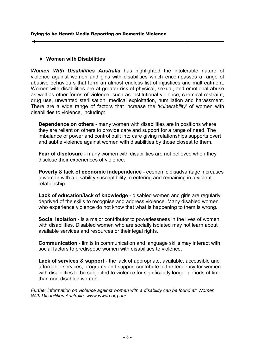# ♦ **Women with Disabilities**

**Women With Disabilities Australia** has highlighted the intolerable nature of violence against women and girls with disabilities which encompasses a abusive behaviours that form an almost endless list of injustices and maltreatment. Women with disabilities are at greater risk of physical, sexual, and emotional abuse Women with disabilities are at greater risk of physical, sexual, and emotional abuse<br>as well as other forms of violence, such as institutional violence, chemical restraint, drug use, unwanted sterilisation, medical exploitation, humiliation and harassment. There are a wide range of factors that increase the 'vulnerability' of women with disabilities to violence, including: against women and girls with disabilities which choompasses a range of<br>behaviours that form an almost endetes list of injustices and matteratment.<br>with disabilities are at greater risk of physical, sexual, and emotional ab

**Dependence on others** - many women with disabilities are in positions where **Dependence on others** - many women with disabilities are in positions where<br>they are reliant on others to provide care and support for a range of need. The imbalance of power and control built into care giving relationships supports overt and subtle violence against women with disabilities by those closest to them.

**Fear of disclosure** - many women with disabilities are not believed when they disclose their experiences of violence. disclose their experiences of violence. with disabilities by those closest to them.<br>with disabilities are not believed when the<br>ce.<br>**pendence** - economic disadvantage incre<br>ility to entering and remaining in a violent

**Poverty & lack of economic independence** - economic disadvantage increases a woman with a disability susceptibility to entering and remaining in relationship.

Lack of education/lack of knowledge - disabled women and girls are regularly deprived of the skills to recognise and address violence. Many disabled women who experience violence do not know that what is happening to them is wrong.

**Social isolation** - is a major contributor to powerlessness in the lives of women with disabilities. Disabled women who are socially isolated may not learn about available services and resources or their legal rights. I **isolation** - is a major contributor to<br>sabilities. Disabled women who are s<br>ble services and resources or their le<br>**nunication** - limits in communication<br>factors to predispose women with dis n/lack of knowledge - disabled women and girls are regularly<br>ills to recognise and address violence. Many disabled women<br>iolence do not know that what is happening to them is wrong.<br>is a major contributor to powerlessness

**Communication** - limits in communication and language skills may interact with social factors to predispose women with disabilities to violence.

Lack of services & support - the lack of appropriate, available, accessible and affordable services, programs and support contribute to the tendency for women with disabilities to be subjected to violence for significantly longer periods of time<br>than non-disabled women. than non-disabled women.

*Further information on violence against women with a disability can be found at: Women With Disabilities Australia: www.wwda.org.au/*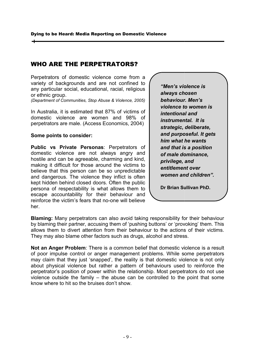# WHO ARE THE PERPETRATORS PERPETRATORS?

Perpetrators of domestic violence come from a variety of backgrounds and are not confined to any particular social, educationa , educational, racial, religious or ethnic group.

*(Department of Communities, Stop Abuse & Violence, 2005)* 

In Australia, it is estimated that 87% of victims of domestic violence are women and 98% of In Australia, it is estimated that 87% of victims of<br>domestic violence are women and 98% of<br>perpetrators are male. (Access Economics, 2004)

#### **Some points to consider: nsider:**

**Public vs Private Personas** : Perpetrators of domestic violence are not always angry and domestic violence are not always angry and<br>hostile and can be agreeable, charming and kind, making it difficult for those around the victims to believe that this person can be so unpredictable and dangerous. The violence they inflict is often kept hidden behind closed doors. Often the public persona of respectability is what allows them to escape accountability for their behaviour and reinforce the victim's fears that no her. ifficult for those around the victims to<br>this person can be so unpredictable<br>ous. The violence they inflict is often<br>behind closed doors. Often the public<br>respectability is what allows them to<br>countability for their behavi

*"Men's violence is always chosen behaviour. Men's violence to women is intentional and instrumental. It is strategic, deliberate, and purposeful. It gets him what he wants and that is a position of male dominance, privilege, and entitlement over women and children". itlement and children".*  Sentern that **violence** is<br>
via the rigious<br>
olence, 2005)<br>
behaviour. Men's<br>
violence to women is<br>
violence to women is<br>
fluctions of<br>
intentional and<br>
instrumental. It is<br>
strate and purposeful. It get<br>
and purposeful. I *instrumental. It is<br>strategic, deliberate,<br>and purposeful. It ge<br>him what he wants<br>and that is a position<br>of male dominance,<br>privilege, and* 

**Dr Brian Sullivan PhD. Sullivan PhD.**

Blaming: Many perpetrators can also avoid taking responsibility for their behaviour Blaming: Many perpetrators can also avoid taking responsibility for their behaviour<br>by blaming their partner, accusing them of 'pushing buttons' or 'provoking' them. This allows them to divert attention from their behaviour to the actions of their victims. They may also blame other factors such as drugs, alcohol and stress.

**Not an Anger Problem**: There is a common belief that domestic violence is a result of poor impulse control or anger management problems. While some perpetrators nay also blame other factors such as drugs, alcohol and stress.<br>They may also blame other factors such as drugs, alcohol and stress.<br>Not an Anger Problem: There is a common belief that domestic violence is a result<br>of poor about physical violence but rather a pattern of behaviours used to reinforce the about physical violence but rather a pattern of behaviours used to reinforce the<br>perpetrator's position of power within the relationship. Most perpetrators do not use perpetrator's position of power within the relationship. Most perpetrators do not use<br>violence outside the family – the abuse can be controlled to the point that some know where to hit so the bruises don't show.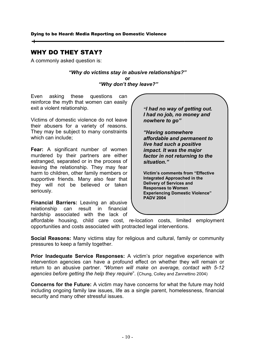# WHY DO THEY STAY? STAY?

A commonly asked question is: commonly

"Why do victims stay in abusive relationships?" **or**   *"Why don't they leave?"* 

Even asking these questions can reinforce the myth that women can easily exit a violent relationship.

Victims of domestic violence do not leave their abusers for a variety of reasons. They may be subject to many constraints which can include; the myth that women can easily<br>
ent relationship.<br>
domestic violence do not leave<br>
sers for a variety of reasons.<br>
be subject to many constraints<br>
include;<br>
significant number of women<br>
by their partners are either<br>
separa

**Fear:** A significant number of women murdered by their partners are either estranged, separated or in the proc leaving the relationship. They may fear harm to children, other family members or supportive friends. Many also fear that they will not be believed or taken seriously.

**Financial Barriers:** Leaving an abusive relationship can result in financial hardship associated with the lack of supportive friends. Many also fear that<br>they will not be believed or taken<br>seriously.<br>**Financial Barriers:** Leaving an abusive<br>relationship can result in financial<br>hardship associated with the lack of<br>affordable housing, c

*I had no job, no money and<br>nowhere to go"<br>"Having somewhere nowhere to go"*  "I had no way of getting out.

*"Having somewhere affordable and permanent to live had such a positive impact. It was the major affordable and permanent to<br>live had such a positive<br>impact. It was the major<br>factor in not returning to the situation."* 

**Victim's comments from "Effective Integrated Approached in the**  Victim's comments from<br>Integrated Approached ir<br>Delivery of Services and **Responses to Women Experiencing Domestic Violence" PADV 2004** 

opportunities and costs associated with protracted legal interventions.

opportunities and costs associated with protracted legal interventions.<br>**Social Reasons:** Many victims stay for religious and cultural, family or community pressures to keep a family together.

**Prior Inadequate Service Responses:** A victim's prior negative experience with **Prior Inadequate Service Responses:** A victim's prior negative experience with intervention agencies can have a profound effect on whether they will remain or intervention agencies can have a profound effect on whether they will remain or<br>return to an abusive partner. *"Women will make on average, contact with 5-12* agencies before getting the help they require". (Chung, Colley and Zannettino 2004) Fractrice do not leave<br>
interpret of reasons.<br>
many constraints<br>
many constraints<br>
mowhere to go"<br> **"Having somewhere**<br>
in the process of<br>
in the process of<br>
They may fear<br>
in the process of<br>
in the process of<br>
struction,<br>

**Concerns for the Future:** A victim may have concerns for what the future may hold **Concerns for the Future:** A victim may have concerns for what the future may hold including ongoing family law issues, life as a single parent, homelessness, financial security and many other stressful issues.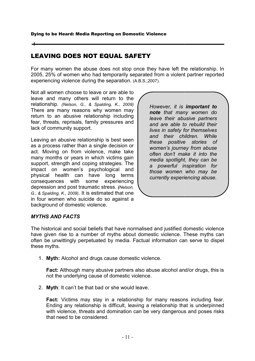# LEAVING DOES NOT EQUAL SAFETY

For many women the abuse does not stop once they have left the relationship. In For many women the abuse does not stop once they have left the relationship. In<br>2005, 25% of women who had temporarily separated from a violent partner reported experiencing violence during the separation. (A.B.S.,2007).

Not all women choose to leave or are able to leave and many others will return to the relationship. *(Nelson, G., & Spalding, K., 2009) 2009)* There are many reasons why women may return to an abusive relationship including fear, threats, reprisals, family pressures an lack of community support. reasons why women may<br>sive relationship including<br>isals, family pressures and

Leaving an abusive relationship is best seen as a process rather than a single decision or Leaving an abusive relationship is best seen<br>as a process rather than a single decision or<br>act. Moving on from violence, make take many months or years in which victims gain support, strength and coping strategies. The impact on women's psychological and physical health can have long terms consequences with some experiencing physical health can have long terms<br>consequences with some experiencing<br>depression and post traumatic stress. *(Nelson, G., & Spalding, K., 2009)*. It is estimated that one in four women who suicide do so against a background of domestic violence. G., & Spalding, K., 2009). It is estimated that one<br>
in four women who suicide do so against a<br>
MYTHS AND FACTS<br>
The historical and social beliefs that have normalised and justified domestic violence

However, it is **important to** *note that many women do leave their abusive partners and are able to rebuild their lives in safety for themselves and their children. While these positive stories of women's journey from abuse often don't make it into media spotlight, they can be a powerful inspiration for those women who may be currently experiencing abuse.*  However, it is **important to**<br> **note** that many women do<br>
eave their abusive partners<br>
and are able to rebuild their<br>
ives in safety for themselves<br>
and their children. While<br>
these positive stories of<br>
women's journey fro *leave their abusive partners*<br>and are able to rebuild their<br>lives in safety for themselves<br>and their children. While<br>these positive stories of<br>women's journey from abuse<br>often don't make it into the *rtlight, they can<br>ul inspiration<br>men who may<br>xperiencing abu* 

# *MYTHS AND FACTS*

have given rise to a number of myths about domestic violence. These myths can often be unwittingly perpetuated by media. Factual information can serve to dispel these myths. and justified domestic violence<br>ic violence. These myths can<br>formation can serve to dispel<br>ce.<br>se alcohol and/or drugs, this is

1. **Myth:** Alcohol and drugs cause domestic violence.

**Myth:** Alcohol and drugs cause domestic violence.<br>**Fact:** Although many abusive partners also abuse alcohol and/ not the underlying cause of domestic violence.

not the underlying cause of domestic violence<br>2. **Myth**: It can't be that bad or she would leave.

**Fact:** Victims may stay in a relationship for many reasons including fear. Fact: Victims may stay in a relationship for many reasons including fear.<br>Ending any relationship is difficult, leaving a relationship that is underpinned with violence, threats and domination can be very dangerous and poses risks<br>that need to be considered. that need to be considered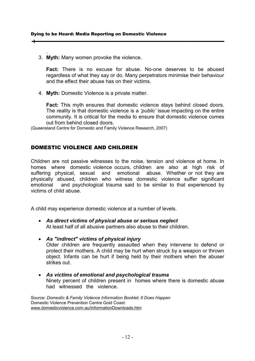. 3. Myth: Many women provoke the violence.

Fact: There is no excuse for abuse. No-one deserves to be abused regardless of what they say or do. Many perpetrators minimise their beh<br>and the effect their abuse has on their victims. and the effect their abuse has on their victims.

4. **Myth:** Domestic Violence is a private matter.

Fact: This myth ensures that domestic violence stays behind closed doors. The reality is that domestic violence is a 'public' issue impacting on the entire community. It is critical for the media to ensure that domestic violence comes out from behind closed doors. out from behind closed doors.

(Queensland Centre for Domestic and Family Violence Research, 2007)

# DOMESTIC VIOLENCE AND CHILDREN

Children are not passive witnesses to the noise, tension and violence at home. In homes where domestic violence occurs, children are also at high risk of suffering physical, sexual and emotional abuse. Whether or not they are physically abused, children who witness domestic violence suffer significant emotional and psychological trauma said to be similar to that experienced by victims of child abuse. homes where domestic-violence-occurs,-children are also at hig<br>suffering physical, sexual and emotional abuse. Whether-or-n<br>physically abused, children who witness domestic violence suffer **Fact:** There is no excuse for abuse of motivae. No-one deserves to be abused<br>regardless of what they say or do. Many perpetrators minimise their behaviour<br>and the effect their abuse has on their victims.<br> **4.** Myth: Dome

A child may experience domestic violence at a number of levels.

- **As direct victims of physical abuse or serious neglect** In all and psychological trauma said to be similar to that end of child abuse.<br>
In ay experience domestic violence at a number of levels.<br> **As direct victims of physical abuse or serious neglect**<br>
At least half of all abus
- *As "indirect" victims of physical injury of* Older children are frequently assaulted when they intervene to defend or protect their mothers. A child may be hurt when struck by a weapon or thrown object. Infants can be hurt if being held by their mothers when the abuser strikes out.
- **As victims of emotional and psychological trauma** Ninety percent of children present in homes where there is domestic abuse had witnessed the violence.

Source: *Domestic & Family Violence Information Booklet: It Does Happen* Domestic Violence Prevention Centre Gold Coast: www.domesticviolence.com.au/InformationDownloads.htm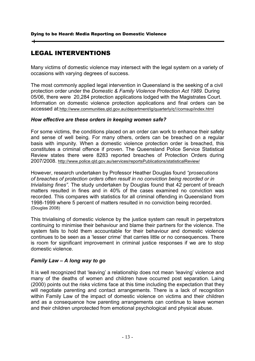# LEGAL INTERVENTIONS

Many victims of domestic violence may intersect with the legal system on a variety of occasions with varying degrees of success. Many victims of domestic violence may intersect with the legal system on a variety of<br>occasions with varying degrees of success.<br>The most commonly applied legal intervention in Queensland is the seeking of a civil

protection order under the *Domestic & Family Violence Protection Act 1989.* 05/06, there were 20,284 protection applications lodged with the Magistrates Court. 05/06, there were 20,284 protection applications lodged with the Magistrates Court.<br>Information on domestic violence protection applications and final orders can be accessed at:http://www.communities.qld.gov.au/department/ig/quarterly/q1/comsup/index.html

# How effective are these orders in keeping women safe?

For some victims, the conditions placed on an order can work to enhance their safety For some victims, the conditions placed on an order can work to enhance their safety<br>and sense of well being. For many others, orders can be breached on a regular basis with impunity. When a domestic violence protection order is breached, this basis with impunity. When a domestic violence protection order is breached, this<br>constitutes a criminal offence if proven. The Queensland Police Service Statistical Review states there were 8283 reported breaches of Protection Orders during 2007/2008. http://www.police.qld.gov.au/services/reportsPublications/statisticalReview/ pplications and final orders can be<br>
ment/ig/quarterly/q1/comsup/index.html<br> **order can work to enhance their safety<br>
ders can be breached on a regular<br>
e protection order is breached, this** 

However, research undertaken by Professor Heather Douglas found "prosecutions *of breaches of protection orders often result in no conviction being recorded or in of breaches protection in* trivialising fines". The study undertaken by Douglas found that 42 percent of breach matters resulted in fines and in 40% of the cases examined no conviction was recorded. This compares with statistics for all criminal offending in Queensland from recorded. This compares with statistics for all criminal offending in Queensland<br>1998-1999 where 5 percent of matters resulted in no conviction being recorded. (Douglas 2008) The most commonly applied legal intervention in Queensland is the seeking of a city<br>control order under the *Domestic* & Family Violence Protection Act 1989. During<br>of 50.06, there were 20,284 protection applications lodge

This trivialising of domestic violence by the justice system can result in perpetrators This trivialising of domestic violence by the justice system can result in perpetrators<br>continuing to minimise their behaviour and blame their partners for the violence. The system fails to hold them accountable for their behaviour and domestic violence system fails to hold them accountable for their behaviour and domestic violence<br>continues to be seen as a 'lesser crime' that carries little or no consequences. There continues to be seen as a 'lesser crime' that carries little or no consequences. There<br>is room for significant improvement in criminal justice responses if we are to stop domestic violence.

# *Family Law – A long way to go to go*

It is well recognized that 'leaving' a relationship does not mean 'leaving' violence and many of the deaths of women and children have occurred post separation. Laing (2000) points out the risks victims face at this time including the expectation that they will negotiate parenting and contact arrangements. There is a lack of recognition within Family Law of the impact of domestic violence on victims and their children and as a consequence how parenting arrangements can continue to leave women and their children unprotected from emotional psychological and physical abuse. t is well recognized that 'leaving' a relationship does not mean 'leaving' violence and<br>nany of the deaths of women and children have occurred post separation. Laing<br>2000) points out the risks victims face at this time inc (2000) points out the risks victims face at this time including the expectation that they<br>will negotiate parenting and contact arrangements. There is a lack of recognition<br>within Family Law of the impact of domestic violen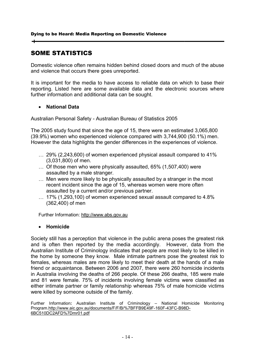# SOME STATISTICS

Domestic violence often remains hidden behind closed doors and much of the abuse and violence that occurs there goes unreported.

It is important for the media to have access to reliable data on which to base their and violence that occurs there goes unreported.<br>It is important for the media to have access to reliable data on which to base their<br>reporting. Listed here are some available data and the electronic sources where further information and additional data can be sought. nains hidden behind closed doors and much of the abu<br>re goes unreported.<br>a to have access to reliable data on which to base th<br>some available data and the electronic sources whe<br>tional data can be sought.<br>Australian Bureau

# • **National Data**

further information and additional data can be sought.<br>• National Data<br>Australian Personal Safety - Australian Bureau of Statistics 2005

The 2005 study found that since the age of 15, there were an estimated 3,065,800 (39.9%) women who experienced violence compared with 3,744,900 (50.1%) men. However the data highlights the gender differences in the experiences of violence.

- … 29% (2,243,600) of women experienced physical assault compared to 41% (3,031,800) of men. ... 29% (2,243,600) of women experienced physical assault comp<br>(3,031,800) of men.<br>(1,507,400) Of those men who were physically assaulted, 65% (1,507,400.
- assaulted by a male stranger.
- … Men were more likely to be physically assaulted by a stranger in the most recent incident since the age of 15, whereas women were more often assaulted by a current and/or previous partner. recent incident since the age of 15, whereas women were more often<br>assaulted by a current and/or previous partner.<br>17% (1,293,100) of women experienced sexual assault compared to 4.8%
- (362,400) of men

Further Information: http://www.abs.gov.au

# • **Homicide**

Society still has a perception that violence in the public arena poses the greatest risk and is often then reported by the media accordingly. However, data from the Australian Institute of Criminology indicates that people are most likely to be killed in the home by someone they know. Male intimate partners pose the greatest risk to females, whereas males are more likely to meet their death at the hands of a male friend or acquaintance. Between 2006 and 2007, there were 260 homicide incidents in Australia involving the deaths of 266 people. Of these 266 deaths, 185 were male and 81 were female. 75% of incidents i 75% of incidents involving female victims were classified as either intimate partner or family relationship whereas 75% of male homicide victims were killed by someone outside of the family. fill has a perception that violence in the public arena poses the greatest risk<br>ften then reported by the media accordingly. However, data from the<br>intitute of Criminology indicates that people are most likely to be killed n experienced sexual assault compared to 4.8%<br>abs.gov.au<br>to violence in the public arena poses the greatest risk<br>the media accordingly. However, data from the<br>y indicates that people are most likely to be killed in<br>w. Male

Further Information: Australian Institute of Criminology - National Homicide Monitoring Program.http://www.aic.gov.au/documents/F/F/B/%7BFFB9E49F-160F-43FC-B98D-6BC510DC2AFD%7Dmr01.pdf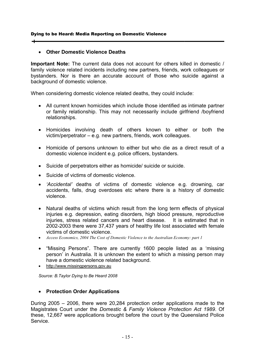# • **Other Domestic Violence Deaths Domestic Violence Deaths**

**Important Note:** The current data does not account for others killed in domestic / family violence related incidents including new partners, friends, work colleagues or Important Note: The current data does not account for others killed in domestic /<br>family violence related incidents including new partners, friends, work colleagues or<br>bystanders. Nor is there an accurate account of those background of domestic violence. bystanders. Nor is there an accurate account of those who suicid<br>background of domestic violence.<br>When considering domestic violence related deaths, they could include:

- kground of domestic violence.<br>en considering domestic violence related deaths, they could include:<br>● All current known homicides which include those identified as intimate partner or family relationship. This may not necessarily include girlfriend /boyfriend relationships. de those identified as intimate partner<br>cessarily include girlfriend /boyfriend<br>s known to either or both the<br>ends, work colleagues.
- Homicides involving death of others known to either or both the victim/perpetrator – e.g. new partners, friends, work colleagues
- Homicide of persons unknown to either but who die as a direct result of a Homicides involving death of others known to eit<br>victim/perpetrator – e.g. new partners, friends, work colleag<br>Homicide of persons unknown to either but who die as<br>domestic violence incident e.g. police officers, bystander
- Suicide of perpetrators either as homicide/ suicide or suicide.
- Suicide of victims of domestic violence.
- *'Accidental'* deaths of victims of domestic violence e.g. drowning, car accidents, falls, drug overdoses etc where there is a history of domestic violence. rpetrators either as homicide/ suicide or suicide.<br>
tims of domestic violence.<br>
deaths of victims of domestic violence e.g. drowning, car<br>
alls, drug overdoses etc where there is a history of domestic<br>
hs of victims which
- Natural deaths of victims which result from the long term effects of physical injuries e.g. depression, eating disorders, high blood pressure, reproductive injuries, stress related cancers and heart disease. It is estimated that in 2002-2003 there were 37,437 years of healthy life lost associated with female victims of domestic violence. of domestic violence.
- Access Economics, 2004 The Cost of Domestic Violence to the Australian Economy: part 1
- "Missing Persons". There are currently 1600 people listed as a 'missing "Missing Persons". There are currently 1600 people listed as a 'missing<br>person' in Australia. It is unknown the extent to which a missing person may have a domestic violence related background.
- http://www.missingperson http://www.missingpersons.gov.au

Source: B. Taylor Dying to Be Heard 2008

# • **Protection Order Applications**

During 2005 – 2006, there were 20,284 protection order applications made to the Magistrates Court under the Domestic & Family Violence Protection Act 1989. Of these, 12,667 were applications brought before the court by the Queensland Police Service.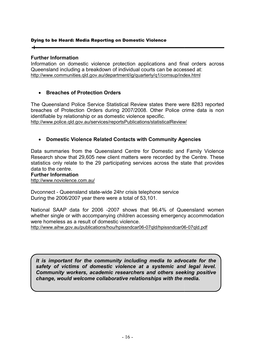# **Further Information**

Information on domestic violence protection applications and final orders across Queensland including a breakdown of individual courts can be accessed at: http://www.communities.qld.gov.au/department/ig/quarterly/q1/comsup/index.html

# • **Breaches of Protection O Breaches of Orders**

The Queensland Police Service Statistical Review states there were 8283 reported The Queensland Police Service Statistical Review states there were 8283 reported<br>breaches of Protection Orders during 2007/2008. Other Police crime data is non identifiable by relationship or as domestic violence specific. http://www.police.qld.gov.au/services/reportsPublications/statisticalReview/

# • **Domestic Violence Related Contacts with Community Agencies Domestic Violence Contacts Agencies**

Data summaries from the Queensland Centre for Domestic and Family Violence Data summaries from the Queensland Centre for Domestic and Family Violence<br>Research show that 29,605 new client matters were recorded by the Centre. These statistics only relate to the 29 participating services across the state that provides data to the centre.

#### **Further Information**

http://www.noviolence.com.au/

Dvconnect - Queensland state-wide 24hr crisis telephone service During the 2006/2007 year there were a total of 53,101.

National SAAP data for 2006 -2007 shows that 96.4% of Queensland women National SAAP data for 2006 -2007 shows that 96.4% of Queensland women<br>whether single or with accompanying children accessing emergency accommodation were homeless as a result of domestic violence.

http://www.aihw.gov.au/publications/hou/hpissndcar06 http://www.aihw.gov.au/publications/hou/hpissndcar06-07qld/hpissndcar06 07qld/hpissndcar06-07qld.pdf

*It is important for the community including media to advocate for the safety of victims of domestic violence at a systemic and legal level. Community workers, academic researcher of victims of domestic and legal level. workers, researchers and others seeking positive Community workers, academic researchers and others seeking p<br>change, would welcome collaborative relationships with the media.*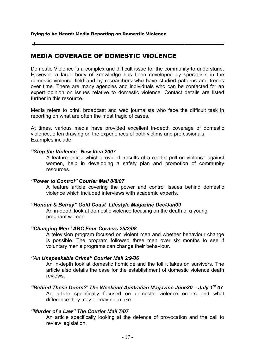# MEDIA COVERAGE OF DOMESTIC VIOLENCE

Domestic Violence is a complex and difficult issue for the community However, a large body of knowledge has been developed by specialists in the However, a large body of knowledge has been developed by specialists in the domestic violence field and by researchers who have studied patterns and trends over time. There are many agencies and individuals who can be contacted for an expert opinion on issues relative to domestic violence. Contact details are listed further in this resource. e are many agencies and individuals who can be contacted for an<br>on issues relative to domestic violence. Contact details are listed<br>source.<br>print, broadcast and web journalists who face the difficult task in<br>at are often t Monderto Walterne is a complex and difficult issue for the community to understand.<br>
Monever, a large body of knowledge has been developed by specialists in the<br>
omestic violence field and by researchers who have studied

Media refers to print, broadcast and web journalists who face the difficult task in reporting on what are often the most tragic of cases.

At times, various media have provided excellent in-depth coverage of domestic violence, often drawing on the experiences of both victims and professionals. Examples include:

# *"Stop the Violence" New Idea 2007 w Idea 2007*

A feature article which provided: results of a reader poll on violence against women, help in developing a safety plan and promotion of community women, resources. ent in-depth coverage of domestic<br>th victims and professionals.<br>of a reader poll on violence against<br>plan and promotion of community<br>nd control issues behind domestic<br>cademic experts.<br>azine Dec/Jan09<br>using on the death of

# *"Power to Control" Courier Mail 8/8/07 wer to*

A feature article covering the power and control issues behind domestic violence which included included interviews with academic experts.

# *"Honour & Betray" Gold Coast Lifestyle Magazine Dec/Jan09 Lifestyle Magazine*

An in-depth look at domestic violence focusing on the death of a young pregnant woman

# "Changing Men" ABC Four Corners 25/2/08

A television program focused on violent men and whether behaviour change is possible. The program followed three men over six months to see<br>voluntary men's programs can change their behaviour. voluntary men's programs can change their behaviour.

#### *"An Unspeakable Crime" Courier Mail 2/9 An 2/9/06*

An in-depth look at domestic homicide and the toll it takes on survivors. The An in-depth look at domestic homicide and the toll it takes on survivors. The<br>article also details the case for the establishment of domestic violence death reviews.

#### **"Behind These Doors?"The Weekend Australian Magazine June30 - July 1<sup>st</sup> 07** An article specifically focused on domestic violence orders and what difference they may or may not make.

# *"Murder of a Law" The Courier Mail 7/07*

An article specifically looking at the defence of provocation and the call to review legislation.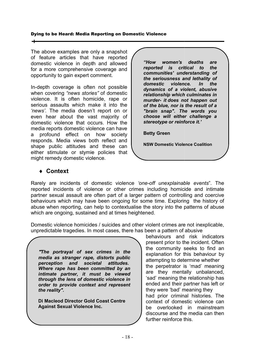The above examples are only a snapshot of feature articles that have reported domestic violence in depth and allowed for a more comprehensive coverage and opportunity to gain expert comment. The above examples are only a snapshot<br>of feature articles that have reported<br>domestic violence in depth and allowed comprehensive o<br>to gain expert cor<br>verage is often

In-depth coverage is often not possible when covering *"news stories" stories"* of domestic violence. It is often homicide, rape or<br>serious assaults which make it into the serious assaults which make it into the 'news'. The media doesn't report on or even hear about the vast majority of even hear about the vast majority of<br>domestic violence that occurs. How the media reports domestic violence can have a profound effect on how society responds. Media views both reflect and shape public attitudes and these can either stimulate or stymie policies that might remedy domestic violence. de a media attitudes either stimulate or stymie policies that<br>
therefore stimulate domestic violence contract and<br>
the either stimulate or stymie policies that<br>
inight remedy domestic violence.<br>
◆ **Context**<br>
Rarely are in

*"How women's deaths are reported is critical to the communities' understanding of the seriousness and lethality of domestic violence. dynamics of a violent, abusive relationship which culminates in murder- it does not happen out of the blue, nor is the result of a "brain snap". The words you choose will either challenge a stereotype or reinforce it.'*  "How women's deaths are<br>reported is critical to the<br>communities' understanding of<br>the seriousness and lethality of<br>domestic violence. In the relationship which culminates in<br>*murder-* it does not happen out<br>of the blue, nor is the result of a<br>"brain snap". The words you<br>choose will either challenge a

**Betty Green** 

**NSW Domestic Violence Coalition**

# ♦ **Context**

Rarely are incidents of domestic violence 'one-off unexplainable events". The reported incidents of violence or other crimes including homicide and intimate partner sexual assault are often part of a larger pattern of controlling and coercive behaviours which may have been ongoing for some time. Exploring abuse when reporting, can help to contextualise the story into the patterns of abuse which are ongoing, sustained and at times heightened. incidents of domestic violence *cone-off unexplainable events*". The<br>
incidents of violence or other crimes including homicide and intimate<br>
una assault are offer a larger partern of controlling and coercive<br>
una may have s including homicide and intimate<br>r pattern of controlling and coercive<br>some time. Exploring the history of

Domestic violence homicides / suicides and other violent crimes are not inexplicable, unpredictable tragedies. In most cases, there has been a pattern of abusive<br>behaviours and risk indicators

"*The portrayal of sex crimes in the media as stranger rape portrayal of crimes the stranger rape, distorts public perception and societal attitudes. Where rape has been committed by an intimate partner, it must be viewed through the lens of domestic violence in order to provide context and represent the reality".* 

**Di Macleod Director Gold Coast Centre Against Sexual Violence Inc.**

present prior to the incident. Often the community seeks to find an the community seeks to find an<br>explanation for this behaviour by attempting to determine whether the perpetrator is 'mad' meaning are they mentally unbalanced, 'sad' meaning the relationship has ended and their partner has left or they were 'bad' meaning they had prior criminal histories. The context of domestic violence can be overlooked in mainstr mainstream discourse and the media can then further reinforce this.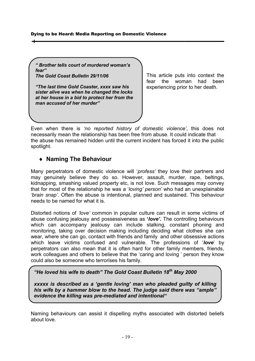*" Brother tells court of murdered woman's fear"* 

*The Gold Coast Bulletin 29/11/06*

*"The last time Gold Coaster, xxxx saw his sister alive was when he changed the locks at her house in a bid to protect her from the man accused of her murder" The Gold Coast Bulletin 29/11/06<br>"The last time Gold Coaster, xxxx s<br>sister alive was when he changed t<br>at her house in a bid to protect her<br>man accused of her murder"* 

This article puts into context the fear the woman had been This article puts into context t<br>fear the woman had be<br>experiencing prior to her death.

Even when there is 'no reported history of domestic violence', this does not necessarily mean the relationship has been free from abuse. It could indicate that the abuse has remained hidden until the current incident has forced it into the public spotlight. cessarily mean the relationship has been free from abuse. It could indicate that<br>abuse has remained hidden until the current incident has forced it into the public<br>otlight.<br>◆ **Naming The Behaviour**<br>ny perpetrators of dome

# ♦ **Naming The Behaviour**

Many perpetrators of domestic violence will 'profess' they love their partners and may genuinely believe they do so. However, assault, murder, rape, beltings, may genuinely believe they do so. However, assault, murder, rape, beltings,<br>kidnapping, smashing valued property etc, is not love. Such messages may convey that for most of the relationship he was a '*loving' person'* who had an '*brain snap*'. Often the abuse is intentional, planned and sustained. This behaviour needs to be named for what it is. needs to be named for what it is. '*profess'* they love their partners and<br>ver, assault, murder, rape, beltings,<br>not love. Such messages may convey<br>*ing' person'* who had an unexplainable

Distorted notions of 'love' common in popular culture can result in some victims of abuse confusing jealousy and possessiveness as **'***love'.* The controlling behaviours which can accompany jealousy can include stalking, constant phoning and monitoring, taking over decision making including deciding what clothes she can monitoring, taking over decision making including deciding what clothes she<br>wear, where she can go, contact with friends and family and other obsessive act which leave victims confused and vulnerable. The professions of 'love' by perpetrators can also mean that it is often hard for other family members, friends, work colleagues and others to believe that the 'caring and loving ' person they know could also be someone who terrorises his family. , constant phoning and<br>ing what clothes she can<br>nd other obsessive actions

*"He loved his wife to death"* 

*xxxxx is described as a 'gentle loving' man who pleaded guilty of killing is loving' pleaded of killing*  his wife by a hammer blow to the head. The judge said there was "ample" *evidence the killing was pre s pre-mediated and intentional"*  betrators can also mean that it is often hard for other family member<br>colleagues and others to believe that the 'caring and loving' person<br>d also be someone who terrorises his family.<br>**E** loved his wife to death" The Gold

Naming behaviours can assist it dispelling myths associated with distorted beliefs about love.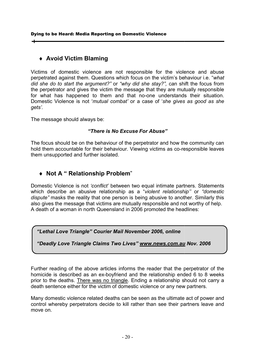# ♦ **Avoid Victim Blaming**

Victims of domestic violence are not responsible for the violence and abuse Victims of domestic violence are not responsible for the violence and abuse<br>perpetrated against them. Questions which focus on the victim's behaviour i.e. "what *did she do to start the argument did she argument?"* or *"why did she stay?",* can shift the focus from did she do to start the argument?" or "why did she stay?", can shift the focus from<br>the perpetrator and gives the victim the message that they are mutually responsible the perpetrator and gives the victim the message that they are mutually responsible<br>for what has happened to them and that no-one understands their situation. Domestic Violence is not 'mutual combat' or a case of 'she gives as good as she *gets'.* 

The message should always be:

# *"There is No Excuse For Abuse" No*

The focus should be on the behaviour of the perpetrator and how the community can The focus should be on the behaviour of the perpetrator and how the community can<br>hold them accountable for their behaviour. Viewing victims as co-responsible leaves them unsupported and further isolated.

# ♦ **Not A " Relationship Problem** "

Domestic Violence is not 'conflict' between two equal intimate partners. Statements which describe an abusive relationship as a "violent relationship" or "domestic dispute" masks the reality that one person is being abusive to another. Similarly this also gives the message that victims are mutually responsible and not worthy of help. A death of a woman in north Queensland in 2006 promoted the headlines:

# *"Lethal Love Triangle"*

*"Deadly Love Triangle Claims Two Lives Deadly Lives" www.news.com.au*

Further reading of the above articles informs the reader that the perpetrator of the homicide is described as an ex-boyfriend and the relationship ended 6 prior to the deaths. There was no triangle. Ending a relationship should not carry a death sentence either for the victim of domestic violence or any new partners. death of a woman in north Queensland in 2006 promoted the headlines:<br>
"Lethal Love Triangle" Courier Mail November 2006, online<br>
"Deadly Love Triangle Claims Two Lives" www.news.com.au Nov. 2006 "Lethal Love Triangle" Courier Mail November 2006, online<br>
"Deadly Love Triangle Claims Two Lives" www.news.com.au Nov. 2006<br>
Further reading of the above articles informs the reader that the perpetrator of the<br>
homicide i ms are mutually responsible and not worthy of help.<br>
Fensland in 2006 promoted the headlines:<br>
Fier Mail November 2006, online<br>
Inter Mail November 2006, online<br>
Inter Mail November 2006, online<br>
Interval Abovement Movemen **Claims Two Lives" www.news.com.au Nov. 2006**<br>
ove articles informs the reader that the perpetrator of th<br>
an ex-boyfriend and the relationship ended 6 to 8 week<br>
<u>was no triangle</u>. Ending a relationship should not carry<br>

Many domestic violence related deaths can be seen as the ultimate act of power and control whereby perpetrators decide to kill rather than see their partners leave and move on.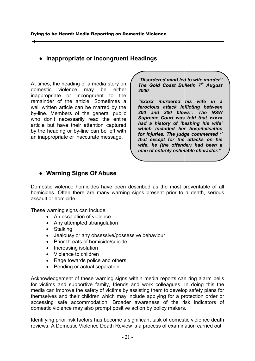# ♦ **Inappropriate or Incongruent Headings Inappropriate or**

At times, the heading of a media story on domestic violence may be either inappropriate or incongruent to the remainder of the article. Sometimes a well written article can be marred by the by-line. Members of the general public who don't necessarily read the entire article but have their attention captured by the heading or by-line can be left with an inappropriate or inaccurate message. At times, the heading of a media story on<br>domestic violence may be either<br>inappropriate or incongruent to the<br>remainder of the article. Sometimes a<br>well written article can be marred by the line. Members of the general public<br>o don't necessarily read the entire<br>cle but have their attention captured<br>the heading or by-line can be left with *"Disordered mind led to wife murder'' The Gold Coast Bu Disordered mind led to wife lletin 7th August 2000* 

*"xxxxx murdered his wife in a ferocious attack inflicting between 200 and 300 blows". The NSW Supreme Court was told that xxxxx had a history of 'bashing his wife which included her hospitalisation for injuries. The judge commented included commented '' that except for the attacks on his wife, he (the offender) had been a his (the man of entirely estimable character."* **ious attack inflicting between<br>and 300 blows". The NSW<br>eme Court was told that xxxxx<br>a history of 'bashing his wife'** 

# ♦ **Warning Signs Of Abuse Of**

Domestic violence homicides have been described as the most preventable of all homicides. Often there are many warning signs present prior to a death, serious assault or homicide. c violence homicides have been described as the most preventab<br>es. Often there are many warning signs present prior to a death,<br>pr homicide.<br>varning signs can include<br>An escalation of violence<br>Any attempted strangulation

These warning signs can include

- An escalation of violence
- Any attempted strangulation
- Stalking
- Jealousy or any obsessive/possessive behaviour
- Prior threats of homicide/suicide
- Increasing isolation
- Violence to children
- Rage towards police and others
- Pending or actual separation

• Violence to children<br>• Rage towards police and others<br>• Pending or actual separation<br>Acknowledgement of these warning signs within media reports can ring alarm bells for victims and supportive family, friends and work colleagues. In doing this the media can improve the safety of victims by assisting them to develop themselves and their children which may include applying for a protection order or accessing safe accommodation. Broader awareness of the risk indicators of domestic violence may also prompt positive action by policy makers. c violence homicides have been described as the most preventable of all<br>ss. Often there are many warning signs present prior to a death, serious<br>or homicide.<br>The interaction of violence<br>An escalation of violence<br>An escalat g for a protection order or<br>of the risk indicators of<br>cy makers.<br>of domestic violence death

Identifying prior risk factors has become a significant task of domestic violence de reviews. A Domestic Violence Death Review is a process of examination carried out domestic violence may also prompt positive action by policy makers.<br>Identifying prior risk factors has become a significant task of domestic violence death<br>reviews. A Domestic Violence Death Review is a process of examinat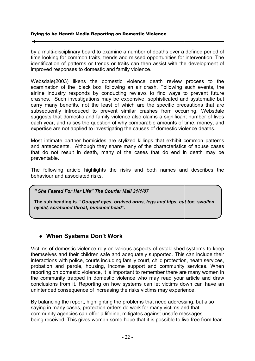by a multi-disciplinary board to examine a number of deaths over a defined period of time looking for common traits, trends and missed opportunities for intervention. The identification of patterns or trends or traits can then assist with the development of improved responses to domestic and family violence. ng for common traits, trends and missed opportunities for intervention. The<br>ion of patterns or trends or traits can then assist with the development of<br>responses to domestic and family violence.<br>(2003) likens the domestic

Websdale(2003) likens the domestic violence death review process to the examination of the 'black box' following an air crash. Following such events, the airline industry responds by conducting reviews to find ways to prevent future crashes. Such investigations may be expensive, sophisticated and sys carry many benefits, not the least of which are the specific precautions that are subsequently introduced to prevent similar crashes from occurring. Websdale suggests that domestic and family violence also claims a significant number of lives each year, and raises the question of why comparable amounts of time, money, and expertise are not applied to investigating the causes of domestic violence deaths. xamination of the 'black box' following an air crash. Following such events, the irline industry responds by conducting reviews to find ways to prevent future rashes. Such investigations may be expensive, sophisticated and to examine a number of deaths over a defined period of<br>ts, trends and missed opportunities for intervention. The<br>rends or traits can then assist with the development of<br>stic and family violence.<br>a domestic violence death r

Most intimate partner homicides are stylized killings that exhibit common patterns and antecedents. Although they share many of the characteristics of abuse cases that do not result in death, many of the cases that do end in death may be preventable. Most intimate partner homicides are stylized killings that exhibit common pattern<br>and antecedents. Although they share many of the characteristics of abuse case<br>that do not result in death, many of the cases that do end in ach year, and raises the question of why comparable amounts of time, money, and<br>xpertise are not applied to investigating the causes of domestic violence deaths.<br>Most intimate partner homicides are stylized killings that e

behaviour and associated risks.

*" She Feared For Her Life" The Courier Mail 31/1/07* 

**The sub heading is** *" Gouged eyes, bruised arms, legs and hips, cut toe, swollen eyelid, scratched throat, punched head".*

# ♦ **When Systems Don't Work**

Victims of domestic violence rely on various aspects of established systems to keep themselves and their children safe and adequately supported. This can include their interactions with police, courts including family court, child protection, heath services, interactions with police, courts including family court, child protection, heath services,<br>probation and parole, housing, income support and community services. When reporting on domestic violence, it is important to remember there are many women in the community trapped in domestic violence who may read your article and draw conclusions from it. Reporting on how systems can let victims down can have an unintended consequence of increasing the risks victims may experience. nd associated risks.<br>
For Her Life" The Courier Mail 31/1/07<br>
Ading is " Gouged eyes, bruised arms, legs and hips, cut toe, swollen<br>
atched throat, punched head".<br>
The Systems Don't Work<br>
Systems Don't Work<br>
Systems Don't probation and parole, housing, income support and community services. When<br>reporting on domestic violence, it is important to remember there are many women in<br>the community trapped in domestic violence who may read your ar can offer lifeline, mitigates to live *he Feared The Courier " Gouged eyes, ratched head".* e who may read your article and draw<br>ems can let victims down can have an<br>sks victims may experience.<br>Jlems that need addressing, but also

By balancing the report, highlighting the problems that need address saying in many cases, protection orders do work for many victims and that community agencies can offer a lifeline, mitigates against unsafe messages being received. This gives women some hope that it is possible to live free from fear. from it. Reporting on how systems can let victims down cat consequence of increasing the risks victims may experience.<br>In the report, highlighting the problems that need addressing, bey cases, protection orders do work for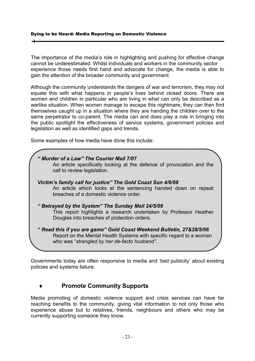The importance of the media's role in highlighting and pushing for effective change cannot be underestimated. Whilst individuals and workers in the community sector The importance of the media's role in highlighting and pushing for effective change<br>cannot be underestimated. Whilst individuals and workers in the community sector<br>experience those needs first hand and advocate for change gain the attention of the broader community and government.

Although the community understands the dangers of war and terrorism, they may not equate this with what happens in people's lives behind closed d women and children in particular who are living in what can only be described as a warlike situation. When women manage to escape this nightmare, they can then find women and children in particular who are living in what can only be described as a<br>warlike situation. When women manage to escape this nightmare, they can then find<br>themselves caught up in a situation where they are handin warlike situation. When women manage to escape this nightmare, they can then find<br>themselves caught up in a situation where they are handing the children over to the<br>same perpetrator to co-parent. The media can and does pl the public spotlight the effectiveness of service systems, government policies and<br>legislation as well as identified gaps and trends.<br>Some examples of how media have done this include: legislation as well as identified gaps and trends. h the community understands the dangers of war and terrorism, they may not<br>this with what happens in people's lives behind closed doors. There are<br>and children in particular who are living in what can only be described as media is able to<br>ism, they may not<br>doors. There are

| same perpetrator to co-parent. The media can and does play a role in bringing into<br>the public spotlight the effectiveness of service systems, government policies and<br>legislation as well as identified gaps and trends.                                                                 |
|------------------------------------------------------------------------------------------------------------------------------------------------------------------------------------------------------------------------------------------------------------------------------------------------|
| Some examples of how media have done this include:                                                                                                                                                                                                                                             |
| " Murder of a Law" The Courier Mail 7/07<br>An article specifically looking at the defence of provocation and the<br>call to review legislation.                                                                                                                                               |
| Victim's family call for justice" The Gold Coast Sun 4/6/08<br>An article which looks at the sentencing handed down on repeat<br>breaches of a domestic violence order.                                                                                                                        |
| "Betrayed by the System" The Sunday Mail 24/5/09<br>This report highlights a research undertaken by Professor Heather<br>Douglas into breaches of protection orders.                                                                                                                           |
| " Read this if you are game" Gold Coast Weekend Bulletin, 27&28/5/06<br>Report on the Mental Health Systems with specific regard to a woman<br>who was "strangled by her de-facto husband".                                                                                                    |
| Governments today are often responsive to media and 'bad publicity' about existing<br>policies and systems failure.                                                                                                                                                                            |
| <b>Promote Community Supports</b>                                                                                                                                                                                                                                                              |
| Media promoting of domestic violence support and crisis services can have far<br>reaching benefits to the community, giving vital information to not only those who<br>experience abuse but to relatives, friends, neighbours and others who may be<br>currently supporting someone they know. |

# ♦ **Promote Community Supports Community Supports**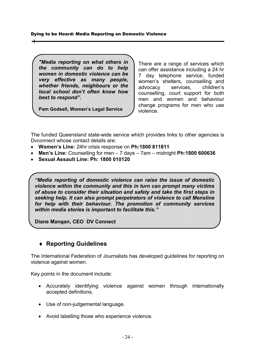"Media reporting on what others in *the community can do to help women in domestic violence can be the community can do to help<br>women in domestic violence can be<br>very effective as many people, whether friends, neighbours or the*  whether friends, neighbours or the<br>local school don't often know how *best to respond".*  **Particular Seperting on Domestic Violence<br>
<b>Particular Point There are a**<br> **Particular Point II** There are a<br> **Particular Point There are a**<br> **Pam Godsell, Women's Legal Service**<br> **Pam Godsell, Women's Legal Service**<br> **Pa** 

**Pam Godsell, Women's Legal Service** 

There are a range of services which can offer assistance including a 24 hr 7 day telephone service, funded women's shelters, counselling and advocacy services, children's counselling, court support for both men and women and behaviour change programs for men who use violence. in offer assistance including a 24 day telephone service, funder men's shelters, counselling are vocacy services, children unselling, court support for bo n and women and behavior unge programs for men who usence.

The funded Queensland state-wide service which provides links to other agencies is Dvconnect whose contact details are:

- Dvconnect whose contact details are:<br>• Women's Line: 24hr crisis response on Ph:1800 811811
- Men's Line: Counselling for men 7 days 7am midnight Ph:1800 600636
- **Sexual Assault Line: Ph: Ph: 1800 010120**

*"Media reporting of domestic violence can raise the issue of domestic violence within the community and this in turn can prompt many victims of abuse to consider their situation and safety and take the first steps in seeking help. It can also prompt perpetrators of violence Mensline for help with their behaviour. help behaviour. The promotion of community services within media stories is important to facilitate this." within media stories is important this."* eporting of domestic violence can raise the issue of domestic<br>within the community and this in turn can prompt many victims<br>to consider their situation and safety and take the first steps in<br>help. It can also prompt perpet

**Diane Mangan, CEO DV Connect** 

# ♦ **Reporting Guidelines**

The International Federation of Journalists has developed guidelines for reporting on violence against women.

Key points in the document include:

- Accurately identifying violence against women through internationally accepted definitions. International Federation of Journalists has developed<br>nce against women.<br>points in the document include:<br>Accurately identifying violence against womer<br>accepted definitions.<br>Use of non-judgemental language.
- Use of non-judgemental language.
- Avoid labelling those who experience violence.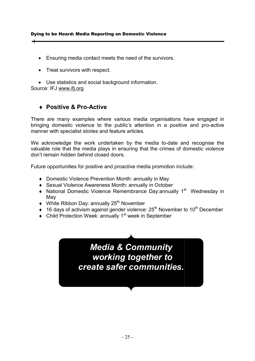- Ensuring media contact meets the need of the survivors.
- Treat survivors with respect.

• Use statistics and social background information. Source: IFJ www.ifj.org

# ♦ **Positive & Pro-Active Active**

There are many examples where various media organisations ha have engaged in bringing domestic violence to the public's attention in a positive and pro-active manner with specialist stories and feature articles. There are many examples where various media organisations have engaged in bringing domestic violence to the public's attention in a positive and pro-active manner with specialist stories and feature articles.<br>We acknowledg

valuable role that the media plays in ensuring that the crimes of domestic violence don't remain hidden behind closed doors. acknowledge the work undertaken by the media to-date and recognise the<br>
uable role that the media plays in ensuring that the crimes of domestic violence<br>
i't remain hidden behind closed doors.<br>
ure opportunities for posit

don't remain hidden behind closed doors.<br>Future opportunities for positive and proactive media promotion include:

- Domestic Violence Prevention Month: annually in May
- ♦ Sexual Violence Awareness Month Violence Awareness Month: annually in October
- May
- $\blacklozenge$  White Ribbon Day: annually 25<sup>th</sup> November
- $\bullet$  16 days of activism against gender violence: 25<sup>th</sup> November to 10<sup>th</sup> December
- $\bullet$  Child Protection Week: annually 1<sup>st</sup> week in September

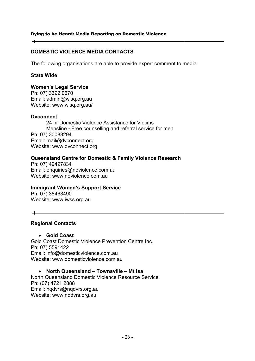# **DOMESTIC VIOLENCE MEDIA CONTACTS VIOLENCE MEDIA**

The following organisations are able to provide expert comment to media.

# **State Wide**

 $\div$ 

# **Women's Legal Service**

Ph: 07) 3392 0670 Email: admin@wlsq.org.au Website: www.wlsq.org.au/

# **Dvconnect**

24 hr Domestic Violence Assistance for Victims 24 hr Domestic Violence Assistance for Victims<br>Mensline - Free counselling and referral service for men Ph: 07) 30088294 Email: mail@dvconnect.org Website: www.dvconnect.org

# **Queensland Centre for Domestic & Family Violence Research Centre Family Violence**

Ph: 07) 49497834 Email: enquiries@noviolence.com.au enquiries@noviolence.com.au Website: www.noviolence.com.au

# **Immigrant Women's Support Se Immigrant Women's Support Service**

Ph: 07) 38463490 Website: www.iwss.org.au

#### $\overline{\phantom{a}}$

# **Regional Contacts**

# • **Gold Coast**

Gold Coast Domestic Violence Prevention Centre Inc. Coast Domestic Ph: 07) 5591422 Email: info@domesticviolence.com.au Website: www.domesticviolence.com.au

# • **North Queensland – Townsville – Mt Isa**

North Queensland Domestic Violence Resource Service Violence Resource Ph: (07) 4721 2888 Email: nqdvrs@nqdvrs.org.au Website: www.nqdvrs.org.au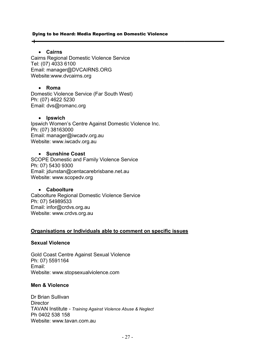# • **Cairns**

 $\overline{\phantom{a}}$ 

Cairns Regional Domestic Violence Service Tel: (07) 4033 6100 Email: manager@DVCAIRNS.ORG Website:www.dvcairns.org

# • **Roma**

Domestic Violence Service (Far South West) Ph: (07) 4622 5230 Email: dvs@romanc.org

#### • **Ipswich**

Ipswich Women's Centre Against Domestic Violence Inc. Ph: (07) 38163000 Email: manager@iwcadv.org.au Website: www.iwcadv.org.au Domestic Violence Service (Far S<br>Ph: (07) 4622 5230<br>Email: dvs@romanc.org<br>• Ipswich<br>Ipswich Women's Centre Against<br>Ph: (07) 38163000<br>Email: manager@iwcadv.org.au<br>Website: www.iwcadv.org.au

# • **Sunshine Coast**

SCOPE Domestic and Family Violence Service Ph: 07) 5430 9300 Email: jdunstan@centacarebrisbane.net.au Website: www.scopedv.org SCOPE Domestic and Family Violence Service<br>
Ph: 07) 5430 9300<br>
Email: jdunstan@centacarebrisbane.net.au<br>
Website: www.scopedv.org<br>
• Caboolture<br>
Caboolture Regional Domestic Violence Service

# • **Caboolture**

Ph: 07) 54989533 Email: infor@crdvs.org.au Website: www.crdvs.org.au

# **Organisations or Individuals able to comment on specific issues**

# **Sexual Violence**

Gold Coast Centre Against Sexual Violence Coast Centre Ph: 07) 5591164 Email: Website: www.stopsexualviolence.com

# **Men & Violence**

Dr Brian Sullivan **Director** TAVAN Institute - *Training Against Violence Abuse & Neglect* Ph 0402 538 158 Website: www.tavan.com.au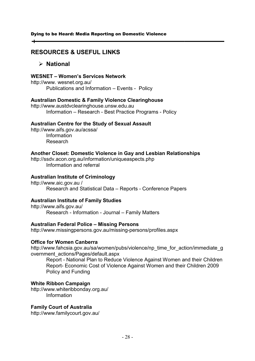# **RESOURCES & USEFUL LINKS USEFUL LINKS**

# **National**

# **WESNET – Women's Services Network**

http://www. wesnet.org.au/ Publications and Information – Events - Policy

# **Australian Domestic & Family Violence Clearinghouse Domestic & Family**

http://www.austdvclearinghouse.unsw.edu.au Information – Research - Best Practice Programs - Policy

# **Australian Centre for the Study of Sexual Assault**

http://www.aifs.gov.au/acssa http://www.aifs.gov.au/acssa/ Information Research

# **Another Closet: Domestic Violence in Gay and Lesbian Relationships Closet: Domestic Violence in Gay and Relationships**

http://ssdv.acon.org.au/information/uniqueaspects.php Information and referral Information and

# **Australian Institute of Criminology stitute**

http://www.aic.gov.au / Research and Statistical Data – Reports - Conference Papers

# **Australian Institute of Family Studies Studies**

http://www.aifs.gov.au/ Research - Information - Journal – Family Matters

# **Australian Federal Police – Missing Persons**

http://www.missingpersons.gov.au/missing http://www.missingpersons.gov.au/missing-persons/profiles.aspx

# **Office for Women Canberra Office for Women Canberra**

http://www.fahcsia.gov.au/sa/women/pubs/violence/np\_time\_for\_action/immediate\_g overnment\_actions/Pages/default.aspx

Report - National Plan to Reduce Violence Against Women and their Children Report- Economic Cost of Violence Against Women and their Children 2009 Policy and Funding Report - National Plan to Re<br>Report- Economic Cost of V<br>Policy and Funding<br>White Ribbon Campaign<br>http://www.whiteribbonday.org.au/

# **White Ribbon Campaign**

Information

# **Family Court of Australia**

http://www.familycourt.gov.au/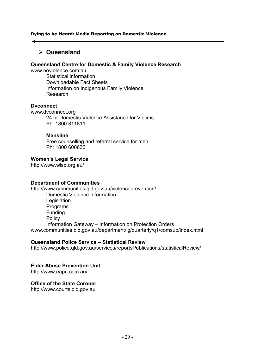# **Queensland**

# **Queensland Centre for Domestic & Family Violence Research Centre Family Violence**

www.noviolence.com.au Statistical information Downloadable Fact Sheets Information on Indigenous Family Violence Research

# **Dvconnect**

www.dvconnect.org 24 hr Domestic Violence Assistance for Victims Ph: 1800 811811

#### **Mensline**

Free counselling and referral service for men Ph: 1800 600636

# **Women's Legal Service**

http://www.wlsq.org.au/

# **Department of Communities**

http://www.communities.qld.gov.au/violenceprevention/ Domestic Violence Information **Legislation**  Programs Funding **Policy** Information Gateway - Information on Protection Orders www.communities.qld.gov.au/department/ig/quarterly/q1/comsup/index.html Free counselling and referral service for men<br>Ph: 1800 600636<br>**n's Legal Service**<br>ww.wisq.org.au/<br>tment of Communities<br>ww.communities.qld.gov.au/violenceprevention/<br>Domestic Violence Information<br>Legislation<br>Programs<br>Fundin

# **Queensland Police Service Service – Statistical Review**

http://www.police.qld.gov.au/services/reportsPublications/statisticalReview/<br>**Elder Abuse Prevention Unit**<br>http://www.eapu.com.au/<br>**Office of the State Coroner** 

# **Elder Abuse Prevention Unit**

http://www.eapu.com.au/

# **Office of the State Coroner**

http://www.courts.qld.gov.au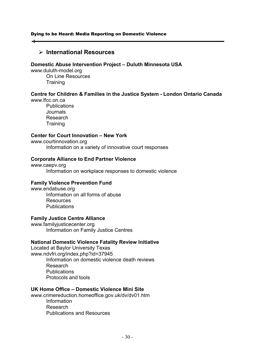# **International Resources**

# **Domestic Abuse Intervention Project - Duluth Minnesota USA**

www.duluth-model.org On Line Resources

**Training** 

# **Centre for Children & Families in the Justice System - London Ontario Canad**

www.lfcc.on.ca **Publications**  Journals Research **Training** 

# **Center for Court Innovation - New York**

www.courtinnovation.org

Information on a variety of innovative court responses

# **Corporate Alliance to End Partner Violence**

www.caepv.org Information on workplace responses to domestic violence Information on workplace

#### **Family Violence Prevention Fund Prevention Fund**

www.endabuse.org Information on all forms of abuse Information on all forms Resources **Publications** 

#### **Family Justice Centre Alliance e Centre**

www.familyjusticecenter.org Information on Family Justice Centres

# **National Domestic Violence Fatality Review Initiative**

Located at Baylor University Texas www.ndvfri.org/index.php?id=37945 Information on domestic violence death reviews Research **Publications** Protocols and tools for Children & Families in the Justice System - London Ontario Canada<br>
Publications<br>
Publications<br>
Dournals<br>
Research<br>
Training<br>
The Court Innovation - New York<br>
Information on a variety of innovative court responses<br>
Info

#### **UK Home Office – Domestic Violence Mini Site**

www.crimereduction.homeoffice.gov.uk/dv/dv01.htm Information Research Publications and Resources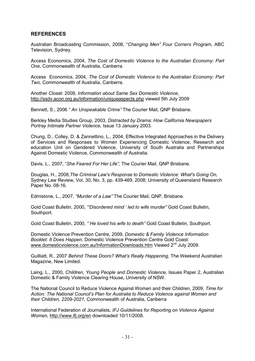# **REFERENCES**

Australian Broadcasting Commission, 2008, "*Changing Men" Four Corners Program,* ABC Television, Sydney.

Access Economics, 2004, *The Cost of Domestic Violence to the Australian Economy: Part One*, Commonwealth of Australia, Canberra.

Access Economics, 2004, *The Cost of Domestic Violence to the Australian Economy: Part Two*, Commonwealth of Australia, Canberra.

Another Closet: 2009, *Information about Same Sex Domestic Violence*, http://ssdv.acon.org.au/information/uniqueaspects.php viewed 5th July 2009

Bennett, S., 2006 *" An Unspeakable Crime"* The Courier Mail, QNP Brisbane.

Berkley Media Studies Group, 2003, *Distracted by Drama: How California Newspapers Portray Intimate Partner Violence,* Issue 13 January 2003.

Chung, D., Colley, D. & Zannettino, L., 2004, Effective Integrated Approaches in the Delivery of Services and Responses to Women Experiencing Domestic Violence, Research and education Unit on Gendered Violence, University of South Australia and Partnerships Against Domestic Violence, Commonwealth of Australia.

Davis, L., 2007, "*She Feared For Her Life",* The Courier Mail, QNP Brisbane.

Douglas, H., 2008,*The Criminal Law's Response to Domestic Violence: What's Going On,*  Sydne*y* Law Review, Vol. 30, No. 3, pp. 439-469, 2008; University of Queensland Research Paper No. 08-16.

Edmistone, L., 2007, *"Murder of a Law"* The Courier Mail, QNP, Brisbane.

Gold Coast Bulletin, 2000, *"'Disordered mind ' led to wife murder"* Gold Coast Bulletin, Southport.

Gold Coast Bulletin, 2000, *" He loved his wife to death"* Gold Coast Bulletin, Southport.

Domestic Violence Prevention Centre, 2009, *Domestic & Family Violence Information Booklet: It Does Happen*, Domestic Violence Prevention Centre Gold Coast: www.domesticviolence.com.au/InformationDownloads.htm Viewed 2<sup>nd</sup> July 2009.

Guilliatt, R., 2007 *Behind These Doors? What's Really Happening,* The Weekend Australian Magazine, New Limited.

Laing, L., 2000, *Children, Young People and Domestic Violence,* Issues Paper 2, Australian Domestic & Family Violence Clearing House, University of NSW.

The National Council to Reduce Violence Against Women and their Children, 2009, *Time for Action: The National Council's Plan for Australia to Reduce Violence against Women and their Children, 2209-2021*, Commonwealth of Australia, Canberra

International Federation of Journalists, *IFJ Guidelines for Reporting on Violence Against Women,* http://www.ifj.org/en downloaded 10/11/2008.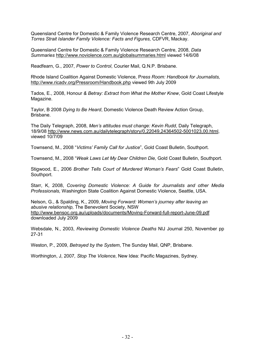Queensland Centre for Domestic & Family Violence Research Centre, 2007, *Aboriginal and Torres Strait Islander Family Violence: Facts and Figures,* CDFVR, Mackay.

Queensland Centre for Domestic & Family Violence Research Centre, 2008, *Data Summaries* http://www.noviolence.com.au/globalsummaries.html viewed 14/6/08

Readfearn, G., 2007, *Power to Control*, Courier Mail, Q.N.P. Brisbane.

Rhode Island Coalition Against Domestic Violence, P*ress Room: Handbook for Journalists,* http://www.ricadv.org/Pressroom/Handbook.php viewed 9th July 2009

Tados, E., 2008, Honour *& Betray: Extract from What the Mother Knew*, Gold Coast Lifestyle Magazine.

Taylor, B 2008 *Dying to Be Heard*, Domestic Violence Death Review Action Group, Brisbane.

The Daily Telegraph, 2008, *Men's attitudes must change: Kevin Rudd*, Daily Telegraph, 18/9/08 http://www.news.com.au/dailytelegraph/story/0,22049,24364502-5001023,00.html, viewed 10/7/09

Townsend, M., 2008 "*Victims' Family Call for Justice*", Gold Coast Bulletin, Southport.

Townsend, M., 2008 "*Weak Laws Let My Dear Children Die,* Gold Coast Bulletin, Southport.

Stigwood, E., 2006 *Brother Tells Court of Murdered Woman's Fears*" Gold Coast Bulletin, Southport.

Starr, K, 2008, *Covering Domestic Violence: A Guide for Journalists and other Media Professionals,* Washington State Coalition Against Domestic Violence, Seattle, USA.

Nelson, G., & Spalding, K., 2009, *Moving Forward: Women's journey after leaving an abusive relationship,* The Benevolent Society, NSW http://www.bensoc.org.au/uploads/documents/Moving-Forward-full-report-June-09.pdf downloaded July 2009

Websdale, N., 2003, *Reviewing Domestic Violence Deaths* NIJ Journal 250, November pp 27-31

Weston, P., 2009, *Betrayed by the System*, The Sunday Mail, QNP, Brisbane.

Worthington, J, 2007*, Stop The Violence*, New Idea: Pacific Magazines, Sydney.